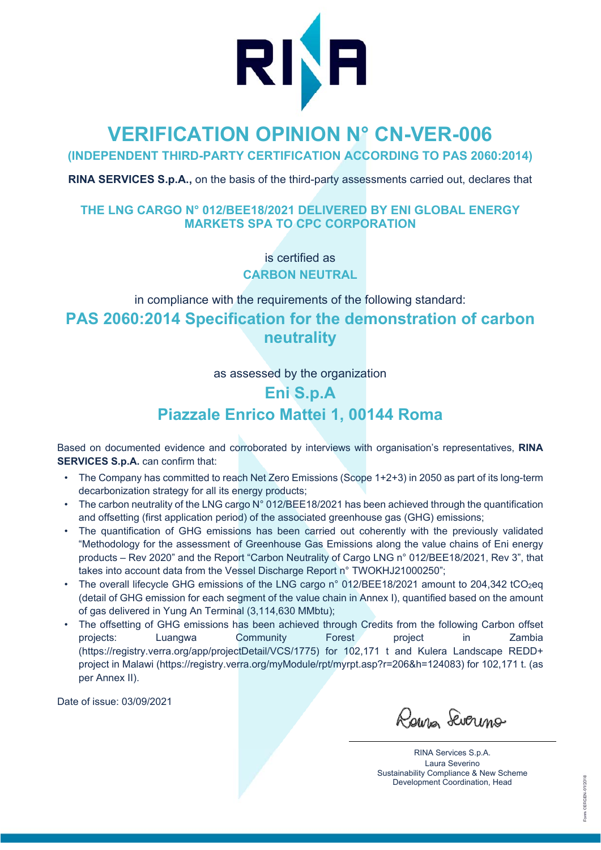

# **VERIFICATION OPINION N° CN-VER-006**

**(INDEPENDENT THIRD-PARTY CERTIFICATION ACCORDING TO PAS 2060:2014)** 

**RINA SERVICES S.p.A.,** on the basis of the third-party assessments carried out, declares that

#### **THE LNG CARGO N° 012/BEE18/2021 DELIVERED BY ENI GLOBAL ENERGY MARKETS SPA TO CPC CORPORATION**

is certified as **CARBON NEUTRAL** 

in compliance with the requirements of the following standard:

# **PAS 2060:2014 Specification for the demonstration of carbon neutrality**

as assessed by the organization

# **Eni S.p.A Piazzale Enrico Mattei 1, 00144 Roma**

Based on documented evidence and corroborated by interviews with organisation's representatives, **RINA SERVICES S.p.A.** can confirm that:

- The Company has committed to reach Net Zero Emissions (Scope 1+2+3) in 2050 as part of its long-term decarbonization strategy for all its energy products;
- The carbon neutrality of the LNG cargo N° 012/BEE18/2021 has been achieved through the quantification and offsetting (first application period) of the associated greenhouse gas (GHG) emissions;
- The quantification of GHG emissions has been carried out coherently with the previously validated "Methodology for the assessment of Greenhouse Gas Emissions along the value chains of Eni energy products – Rev 2020" and the Report "Carbon Neutrality of Cargo LNG n° 012/BEE18/2021, Rev 3", that takes into account data from the Vessel Discharge Report n° TWOKHJ21000250";
- The overall lifecycle GHG emissions of the LNG cargo n° 012/BEE18/2021 amount to 204,342 tCO2eq (detail of GHG emission for each segment of the value chain in Annex I), quantified based on the amount of gas delivered in Yung An Terminal (3,114,630 MMbtu);
- The offsetting of GHG emissions has been achieved through Credits from the following Carbon offset projects: Luangwa Community Forest project in Zambia (https://registry.verra.org/app/projectDetail/VCS/1775) for 102,171 t and Kulera Landscape REDD+ project in Malawi (https://registry.verra.org/myModule/rpt/myrpt.asp?r=206&h=124083) for 102,171 t. (as per Annex II).

Date of issue: 03/09/2021

Raina Severino

RINA Services S.p.A. Laura Severino Sustainability Compliance & New Scheme Development Coordination, Head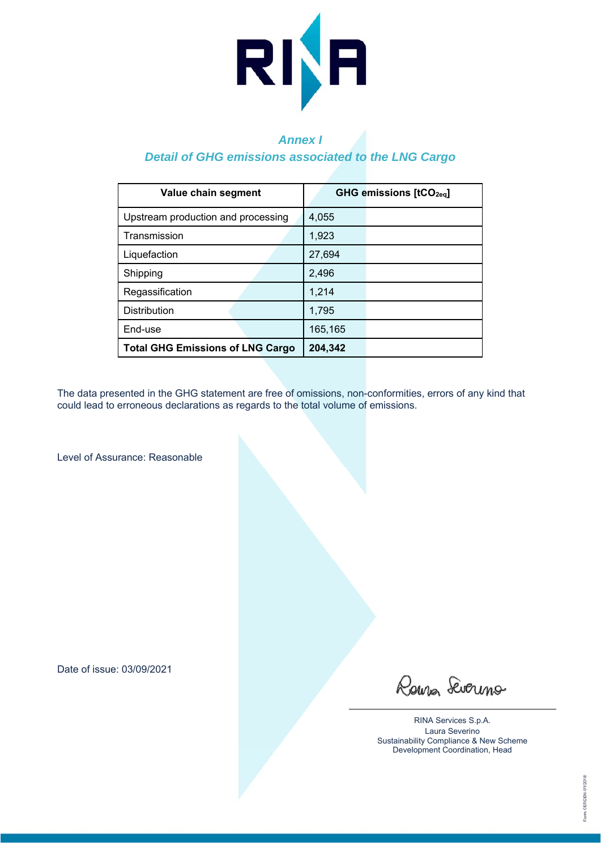

## *Annex I*

#### *Detail of GHG emissions associated to the LNG Cargo*

| Value chain segment                     | <b>GHG emissions [tCO<sub>2eg</sub>]</b> |
|-----------------------------------------|------------------------------------------|
| Upstream production and processing      | 4,055                                    |
| Transmission                            | 1,923                                    |
| Liquefaction                            | 27,694                                   |
| Shipping                                | 2,496                                    |
| Regassification                         | 1,214                                    |
| <b>Distribution</b>                     | 1,795                                    |
| End-use                                 | 165,165                                  |
| <b>Total GHG Emissions of LNG Cargo</b> | 204,342                                  |

The data presented in the GHG statement are free of omissions, non-conformities, errors of any kind that could lead to erroneous declarations as regards to the total volume of emissions.

Level of Assurance: Reasonable

Date of issue: 03/09/2021

Roura Severino

RINA Services S.p.A. Laura Severino Sustainability Compliance & New Scheme Development Coordination, Head